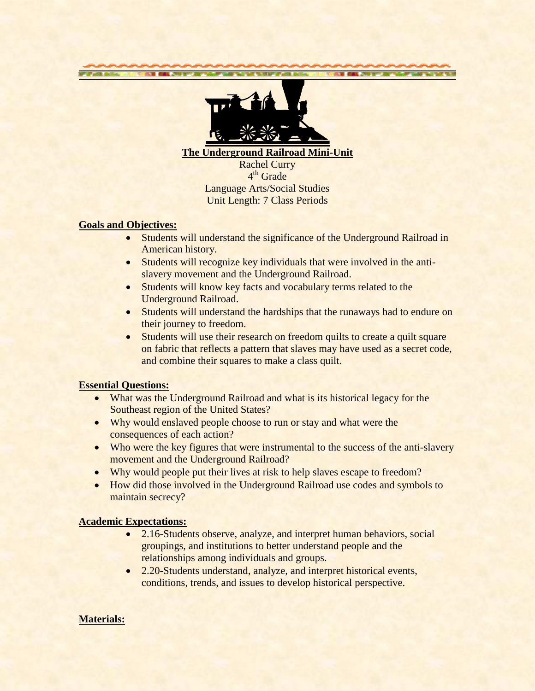

**The Underground Railroad Mini-Unit**

Rachel Curry 4<sup>th</sup> Grade Language Arts/Social Studies Unit Length: 7 Class Periods

#### **Goals and Objectives:**

**Las** 

- Students will understand the significance of the Underground Railroad in American history.
- Students will recognize key individuals that were involved in the antislavery movement and the Underground Railroad.
- Students will know key facts and vocabulary terms related to the Underground Railroad.
- Students will understand the hardships that the runaways had to endure on their journey to freedom.
- Students will use their research on freedom quilts to create a quilt square on fabric that reflects a pattern that slaves may have used as a secret code, and combine their squares to make a class quilt.

# **Essential Questions:**

- What was the Underground Railroad and what is its historical legacy for the Southeast region of the United States?
- Why would enslaved people choose to run or stay and what were the consequences of each action?
- Who were the key figures that were instrumental to the success of the anti-slavery movement and the Underground Railroad?
- Why would people put their lives at risk to help slaves escape to freedom?
- How did those involved in the Underground Railroad use codes and symbols to maintain secrecy?

# **Academic Expectations:**

- 2.16-Students observe, analyze, and interpret human behaviors, social groupings, and institutions to better understand people and the relationships among individuals and groups.
- 2.20-Students understand, analyze, and interpret historical events, conditions, trends, and issues to develop historical perspective.

# **Materials:**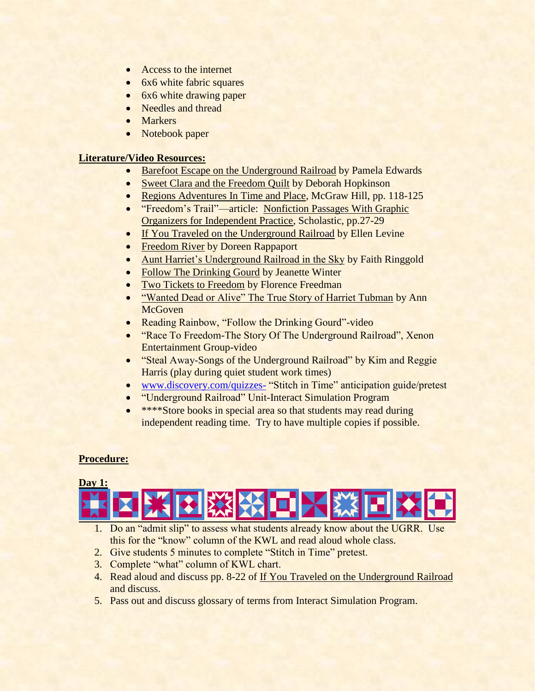- Access to the internet
- 6x6 white fabric squares
- 6x6 white drawing paper
- Needles and thread
- Markers
- Notebook paper

# **Literature/Video Resources:**

- Barefoot Escape on the Underground Railroad by Pamela Edwards
- Sweet Clara and the Freedom Quilt by Deborah Hopkinson
- Regions Adventures In Time and Place, McGraw Hill, pp. 118-125
- "Freedom's Trail"—article: Nonfiction Passages With Graphic Organizers for Independent Practice, Scholastic, pp.27-29
- If You Traveled on the Underground Railroad by Ellen Levine
- Freedom River by Doreen Rappaport
- Aunt Harriet's Underground Railroad in the Sky by Faith Ringgold
- Follow The Drinking Gourd by Jeanette Winter
- Two Tickets to Freedom by Florence Freedman
- "Wanted Dead or Alive" The True Story of Harriet Tubman by Ann **McGoven**
- Reading Rainbow, "Follow the Drinking Gourd"-video
- "Race To Freedom-The Story Of The Underground Railroad", Xenon Entertainment Group-video
- "Steal Away-Songs of the Underground Railroad" by Kim and Reggie Harris (play during quiet student work times)
- [www.discovery.com/quizzes-](http://www.discovery.com/quizzes-) "Stitch in Time" anticipation guide/pretest
- "Underground Railroad" Unit-Interact Simulation Program
- \*\*\*\*Store books in special area so that students may read during independent reading time. Try to have multiple copies if possible.

# **Procedure:**



- 1. Do an "admit slip" to assess what students already know about the UGRR. Use this for the "know" column of the KWL and read aloud whole class.
- 2. Give students 5 minutes to complete "Stitch in Time" pretest.
- 3. Complete "what" column of KWL chart.
- 4. Read aloud and discuss pp. 8-22 of If You Traveled on the Underground Railroad and discuss.
- 5. Pass out and discuss glossary of terms from Interact Simulation Program.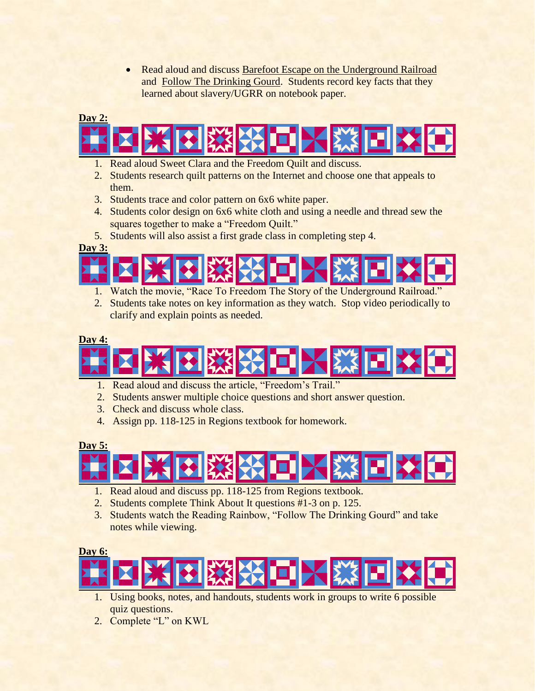• Read aloud and discuss Barefoot Escape on the Underground Railroad and Follow The Drinking Gourd. Students record key facts that they learned about slavery/UGRR on notebook paper.

# **Day 2:**



- 1. Read aloud Sweet Clara and the Freedom Quilt and discuss.
- 2. Students research quilt patterns on the Internet and choose one that appeals to them.
- 3. Students trace and color pattern on 6x6 white paper.
- 4. Students color design on 6x6 white cloth and using a needle and thread sew the squares together to make a "Freedom Quilt."
- 5. Students will also assist a first grade class in completing step 4.

**Day 3:**



- 1. Watch the movie, "Race To Freedom The Story of the Underground Railroad."
- 2. Students take notes on key information as they watch. Stop video periodically to clarify and explain points as needed.

#### **Day 4:**



- 1. Read aloud and discuss the article, "Freedom's Trail."
- 2. Students answer multiple choice questions and short answer question.
- 3. Check and discuss whole class.
- 4. Assign pp. 118-125 in Regions textbook for homework.

**Day 5:**



- 1. Read aloud and discuss pp. 118-125 from Regions textbook.
- 2. Students complete Think About It questions #1-3 on p. 125.
- 3. Students watch the Reading Rainbow, "Follow The Drinking Gourd" and take notes while viewing.



- 1. Using books, notes, and handouts, students work in groups to write 6 possible quiz questions.
- 2. Complete "L" on KWL